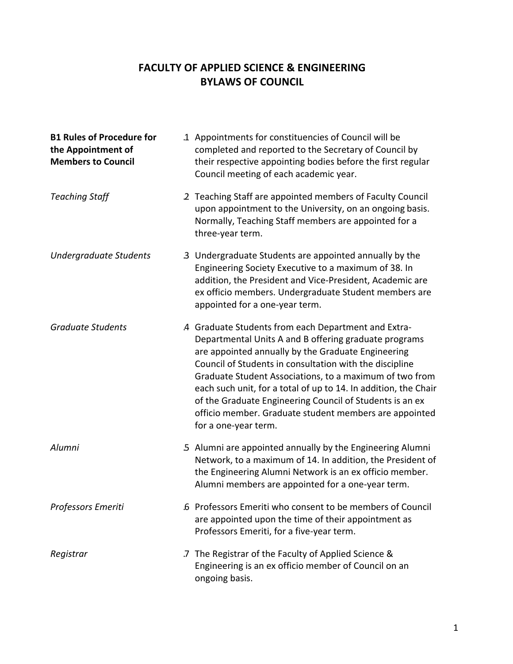## **FACULTY OF APPLIED SCIENCE & ENGINEERING BYLAWS OF COUNCIL**

| <b>B1 Rules of Procedure for</b><br>the Appointment of<br><b>Members to Council</b> | 1. Appointments for constituencies of Council will be<br>completed and reported to the Secretary of Council by<br>their respective appointing bodies before the first regular<br>Council meeting of each academic year.                                                                                                                                                                                                                                                                                   |
|-------------------------------------------------------------------------------------|-----------------------------------------------------------------------------------------------------------------------------------------------------------------------------------------------------------------------------------------------------------------------------------------------------------------------------------------------------------------------------------------------------------------------------------------------------------------------------------------------------------|
| <b>Teaching Staff</b>                                                               | 2 Teaching Staff are appointed members of Faculty Council<br>upon appointment to the University, on an ongoing basis.<br>Normally, Teaching Staff members are appointed for a<br>three-year term.                                                                                                                                                                                                                                                                                                         |
| <b>Undergraduate Students</b>                                                       | 3 Undergraduate Students are appointed annually by the<br>Engineering Society Executive to a maximum of 38. In<br>addition, the President and Vice-President, Academic are<br>ex officio members. Undergraduate Student members are<br>appointed for a one-year term.                                                                                                                                                                                                                                     |
| <b>Graduate Students</b>                                                            | 4 Graduate Students from each Department and Extra-<br>Departmental Units A and B offering graduate programs<br>are appointed annually by the Graduate Engineering<br>Council of Students in consultation with the discipline<br>Graduate Student Associations, to a maximum of two from<br>each such unit, for a total of up to 14. In addition, the Chair<br>of the Graduate Engineering Council of Students is an ex<br>officio member. Graduate student members are appointed<br>for a one-year term. |
| Alumni                                                                              | 5 Alumni are appointed annually by the Engineering Alumni<br>Network, to a maximum of 14. In addition, the President of<br>the Engineering Alumni Network is an ex officio member.<br>Alumni members are appointed for a one-year term.                                                                                                                                                                                                                                                                   |
| Professors Emeriti                                                                  | 6 Professors Emeriti who consent to be members of Council<br>are appointed upon the time of their appointment as<br>Professors Emeriti, for a five-year term.                                                                                                                                                                                                                                                                                                                                             |
| Registrar                                                                           | .7 The Registrar of the Faculty of Applied Science &<br>Engineering is an ex officio member of Council on an<br>ongoing basis.                                                                                                                                                                                                                                                                                                                                                                            |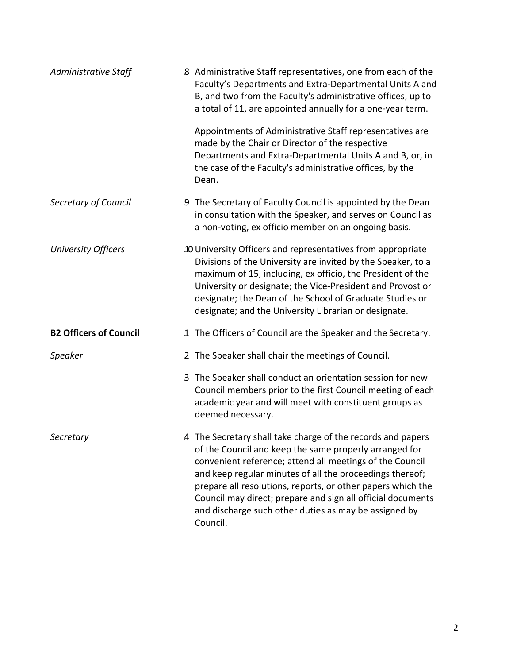| Administrative Staff          | 8 Administrative Staff representatives, one from each of the<br>Faculty's Departments and Extra-Departmental Units A and<br>B, and two from the Faculty's administrative offices, up to<br>a total of 11, are appointed annually for a one-year term.                                                                                                                                                                                            |  |
|-------------------------------|--------------------------------------------------------------------------------------------------------------------------------------------------------------------------------------------------------------------------------------------------------------------------------------------------------------------------------------------------------------------------------------------------------------------------------------------------|--|
|                               | Appointments of Administrative Staff representatives are<br>made by the Chair or Director of the respective<br>Departments and Extra-Departmental Units A and B, or, in<br>the case of the Faculty's administrative offices, by the<br>Dean.                                                                                                                                                                                                     |  |
| Secretary of Council          | 9 The Secretary of Faculty Council is appointed by the Dean<br>in consultation with the Speaker, and serves on Council as<br>a non-voting, ex officio member on an ongoing basis.                                                                                                                                                                                                                                                                |  |
| <b>University Officers</b>    | .10 University Officers and representatives from appropriate<br>Divisions of the University are invited by the Speaker, to a<br>maximum of 15, including, ex officio, the President of the<br>University or designate; the Vice-President and Provost or<br>designate; the Dean of the School of Graduate Studies or<br>designate; and the University Librarian or designate.                                                                    |  |
| <b>B2 Officers of Council</b> | .1 The Officers of Council are the Speaker and the Secretary.                                                                                                                                                                                                                                                                                                                                                                                    |  |
| Speaker                       | .2 The Speaker shall chair the meetings of Council.                                                                                                                                                                                                                                                                                                                                                                                              |  |
|                               | 3 The Speaker shall conduct an orientation session for new<br>Council members prior to the first Council meeting of each<br>academic year and will meet with constituent groups as<br>deemed necessary.                                                                                                                                                                                                                                          |  |
| Secretary                     | 4 The Secretary shall take charge of the records and papers<br>of the Council and keep the same properly arranged for<br>convenient reference; attend all meetings of the Council<br>and keep regular minutes of all the proceedings thereof;<br>prepare all resolutions, reports, or other papers which the<br>Council may direct; prepare and sign all official documents<br>and discharge such other duties as may be assigned by<br>Council. |  |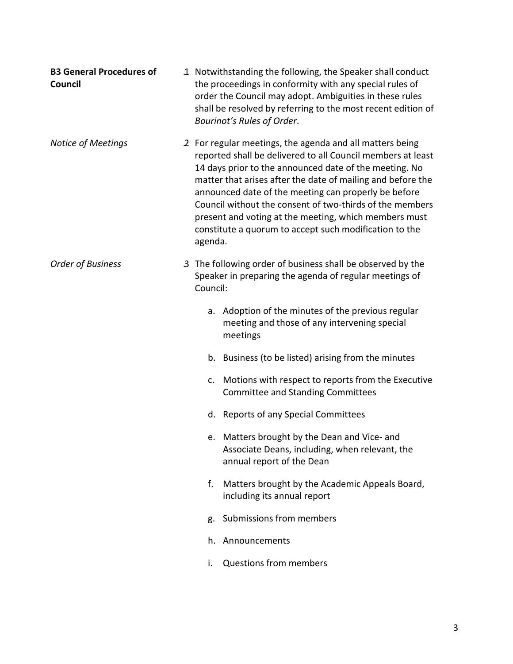| <b>B3 General Procedures of</b><br>Council |          | 1. Notwithstanding the following, the Speaker shall conduct<br>the proceedings in conformity with any special rules of<br>order the Council may adopt. Ambiguities in these rules<br>shall be resolved by referring to the most recent edition of<br>Bourinot's Rules of Order.                                                                                                                                                                                                          |
|--------------------------------------------|----------|------------------------------------------------------------------------------------------------------------------------------------------------------------------------------------------------------------------------------------------------------------------------------------------------------------------------------------------------------------------------------------------------------------------------------------------------------------------------------------------|
| <b>Notice of Meetings</b>                  | agenda.  | .2 For regular meetings, the agenda and all matters being<br>reported shall be delivered to all Council members at least<br>14 days prior to the announced date of the meeting. No<br>matter that arises after the date of mailing and before the<br>announced date of the meeting can properly be before<br>Council without the consent of two-thirds of the members<br>present and voting at the meeting, which members must<br>constitute a quorum to accept such modification to the |
| <b>Order of Business</b>                   | Council: | 3 The following order of business shall be observed by the<br>Speaker in preparing the agenda of regular meetings of                                                                                                                                                                                                                                                                                                                                                                     |
|                                            | a.       | Adoption of the minutes of the previous regular<br>meeting and those of any intervening special<br>meetings                                                                                                                                                                                                                                                                                                                                                                              |
|                                            |          | b. Business (to be listed) arising from the minutes                                                                                                                                                                                                                                                                                                                                                                                                                                      |
|                                            | c.       | Motions with respect to reports from the Executive<br><b>Committee and Standing Committees</b>                                                                                                                                                                                                                                                                                                                                                                                           |
|                                            |          | d. Reports of any Special Committees                                                                                                                                                                                                                                                                                                                                                                                                                                                     |
|                                            |          | e. Matters brought by the Dean and Vice- and<br>Associate Deans, including, when relevant, the<br>annual report of the Dean                                                                                                                                                                                                                                                                                                                                                              |
|                                            | f.       | Matters brought by the Academic Appeals Board,<br>including its annual report                                                                                                                                                                                                                                                                                                                                                                                                            |
|                                            | g.       | Submissions from members                                                                                                                                                                                                                                                                                                                                                                                                                                                                 |
|                                            |          | h. Announcements                                                                                                                                                                                                                                                                                                                                                                                                                                                                         |
|                                            | i.       | <b>Questions from members</b>                                                                                                                                                                                                                                                                                                                                                                                                                                                            |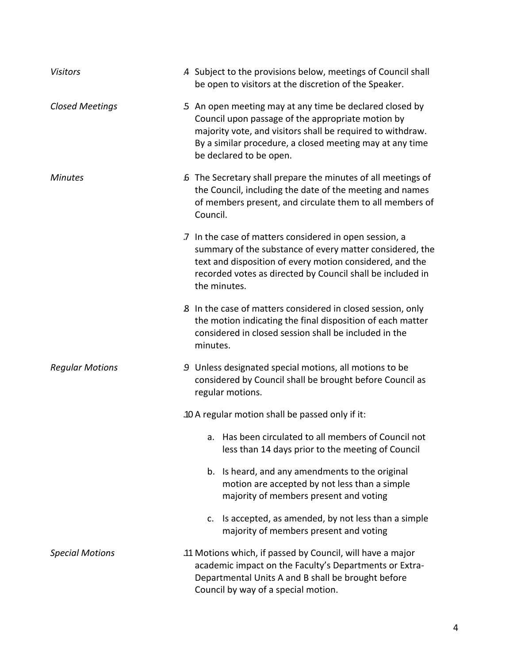| <b>Visitors</b>        | 4 Subject to the provisions below, meetings of Council shall<br>be open to visitors at the discretion of the Speaker.                                                                                                                                             |
|------------------------|-------------------------------------------------------------------------------------------------------------------------------------------------------------------------------------------------------------------------------------------------------------------|
| <b>Closed Meetings</b> | 5 An open meeting may at any time be declared closed by<br>Council upon passage of the appropriate motion by<br>majority vote, and visitors shall be required to withdraw.<br>By a similar procedure, a closed meeting may at any time<br>be declared to be open. |
| <b>Minutes</b>         | .6 The Secretary shall prepare the minutes of all meetings of<br>the Council, including the date of the meeting and names<br>of members present, and circulate them to all members of<br>Council.                                                                 |
|                        | .7 In the case of matters considered in open session, a<br>summary of the substance of every matter considered, the<br>text and disposition of every motion considered, and the<br>recorded votes as directed by Council shall be included in<br>the minutes.     |
|                        | .8 In the case of matters considered in closed session, only<br>the motion indicating the final disposition of each matter<br>considered in closed session shall be included in the<br>minutes.                                                                   |
| <b>Regular Motions</b> | 9 Unless designated special motions, all motions to be<br>considered by Council shall be brought before Council as<br>regular motions.                                                                                                                            |
|                        | .10 A regular motion shall be passed only if it:                                                                                                                                                                                                                  |
|                        | a. Has been circulated to all members of Council not<br>less than 14 days prior to the meeting of Council                                                                                                                                                         |
|                        | b. Is heard, and any amendments to the original<br>motion are accepted by not less than a simple<br>majority of members present and voting                                                                                                                        |
|                        | Is accepted, as amended, by not less than a simple<br>c.<br>majority of members present and voting                                                                                                                                                                |
| <b>Special Motions</b> | .11 Motions which, if passed by Council, will have a major<br>academic impact on the Faculty's Departments or Extra-<br>Departmental Units A and B shall be brought before<br>Council by way of a special motion.                                                 |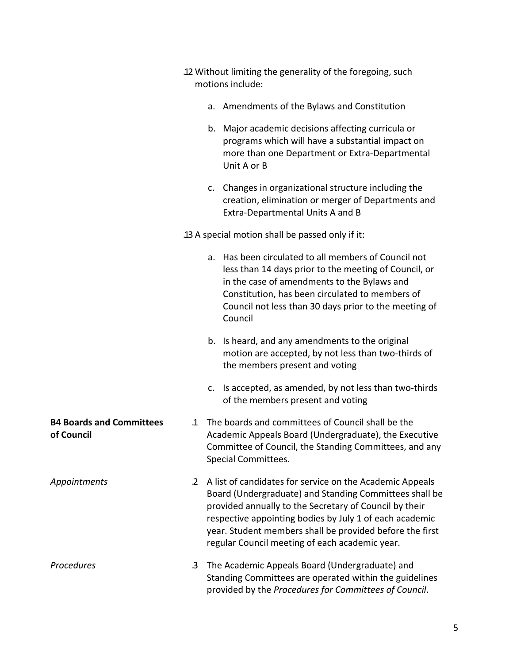|                                               | .12 Without limiting the generality of the foregoing, such<br>motions include: |                                                                                                                                                                                                                                                                                                                                                       |  |
|-----------------------------------------------|--------------------------------------------------------------------------------|-------------------------------------------------------------------------------------------------------------------------------------------------------------------------------------------------------------------------------------------------------------------------------------------------------------------------------------------------------|--|
|                                               |                                                                                | a. Amendments of the Bylaws and Constitution                                                                                                                                                                                                                                                                                                          |  |
|                                               |                                                                                | b. Major academic decisions affecting curricula or<br>programs which will have a substantial impact on<br>more than one Department or Extra-Departmental<br>Unit A or B                                                                                                                                                                               |  |
|                                               |                                                                                | c. Changes in organizational structure including the<br>creation, elimination or merger of Departments and<br>Extra-Departmental Units A and B                                                                                                                                                                                                        |  |
|                                               | .13 A special motion shall be passed only if it:                               |                                                                                                                                                                                                                                                                                                                                                       |  |
|                                               |                                                                                | a. Has been circulated to all members of Council not<br>less than 14 days prior to the meeting of Council, or<br>in the case of amendments to the Bylaws and<br>Constitution, has been circulated to members of<br>Council not less than 30 days prior to the meeting of<br>Council                                                                   |  |
|                                               |                                                                                | b. Is heard, and any amendments to the original<br>motion are accepted, by not less than two-thirds of<br>the members present and voting                                                                                                                                                                                                              |  |
|                                               |                                                                                | c. Is accepted, as amended, by not less than two-thirds<br>of the members present and voting                                                                                                                                                                                                                                                          |  |
| <b>B4 Boards and Committees</b><br>of Council |                                                                                | .1 The boards and committees of Council shall be the<br>Academic Appeals Board (Undergraduate), the Executive<br>Committee of Council, the Standing Committees, and any<br>Special Committees.                                                                                                                                                        |  |
| Appointments                                  | $\mathbf{2}$                                                                   | A list of candidates for service on the Academic Appeals<br>Board (Undergraduate) and Standing Committees shall be<br>provided annually to the Secretary of Council by their<br>respective appointing bodies by July 1 of each academic<br>year. Student members shall be provided before the first<br>regular Council meeting of each academic year. |  |
| Procedures                                    | 3                                                                              | The Academic Appeals Board (Undergraduate) and<br>Standing Committees are operated within the guidelines<br>provided by the Procedures for Committees of Council.                                                                                                                                                                                     |  |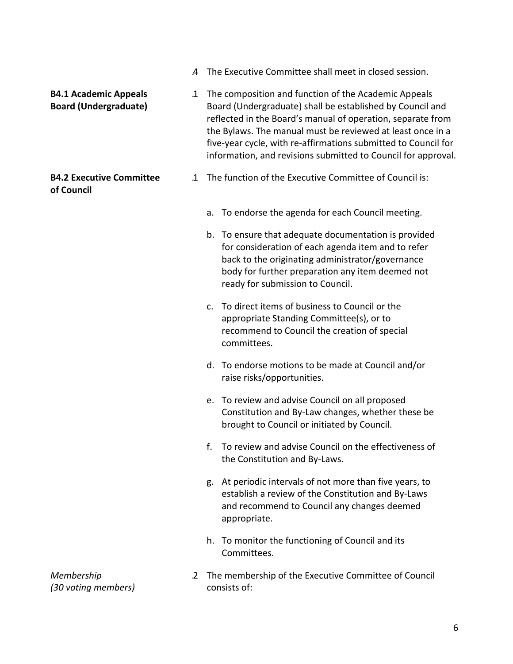- .4 The Executive Committee shall meet in closed session.
- **B4.1 Academic Appeals Board (Undergraduate)**

### **B4.2 Executive Committee of Council**

- .1 The composition and function of the Academic Appeals Board (Undergraduate) shall be established by Council and reflected in the Board's manual of operation, separate from the Bylaws. The manual must be reviewed at least once in a five‐year cycle, with re‐affirmations submitted to Council for information, and revisions submitted to Council for approval.
- .1 The function of the Executive Committee of Council is:
	- a. To endorse the agenda for each Council meeting.
	- b. To ensure that adequate documentation is provided for consideration of each agenda item and to refer back to the originating administrator/governance body for further preparation any item deemed not ready for submission to Council.
	- c. To direct items of business to Council or the appropriate Standing Committee(s), or to recommend to Council the creation of special committees.
	- d. To endorse motions to be made at Council and/or raise risks/opportunities.
	- e. To review and advise Council on all proposed Constitution and By‐Law changes, whether these be brought to Council or initiated by Council.
	- f. To review and advise Council on the effectiveness of the Constitution and By‐Laws.
	- g. At periodic intervals of not more than five years, to establish a review of the Constitution and By‐Laws and recommend to Council any changes deemed appropriate.
	- h. To monitor the functioning of Council and its Committees.
- .2 The membership of the Executive Committee of Council consists of:

*Membership (30 voting members)*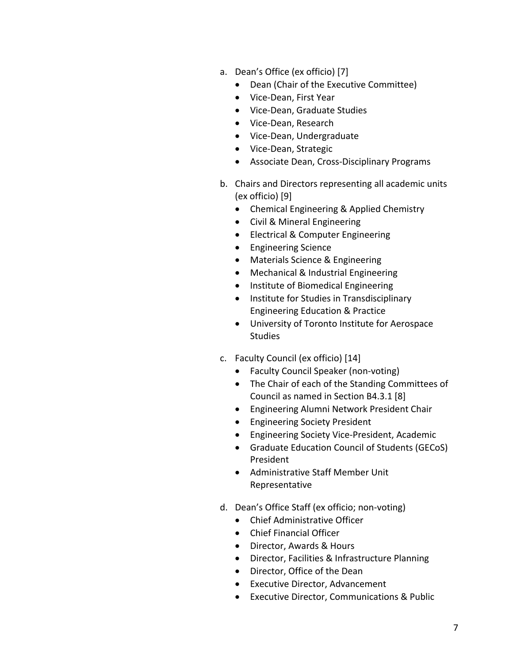- a. Dean's Office (ex officio) [7]
	- Dean (Chair of the Executive Committee)
	- Vice-Dean, First Year
	- Vice-Dean, Graduate Studies
	- Vice-Dean, Research
	- Vice-Dean, Undergraduate
	- Vice-Dean, Strategic
	- Associate Dean, Cross-Disciplinary Programs
- b. Chairs and Directors representing all academic units (ex officio) [9]
	- Chemical Engineering & Applied Chemistry
	- Civil & Mineral Engineering
	- Electrical & Computer Engineering
	- Engineering Science
	- Materials Science & Engineering
	- Mechanical & Industrial Engineering
	- Institute of Biomedical Engineering
	- Institute for Studies in Transdisciplinary Engineering Education & Practice
	- University of Toronto Institute for Aerospace **Studies**
- c. Faculty Council (ex officio) [14]
	- Faculty Council Speaker (non‐voting)
	- The Chair of each of the Standing Committees of Council as named in Section B4.3.1 [8]
	- Engineering Alumni Network President Chair
	- Engineering Society President
	- Engineering Society Vice‐President, Academic
	- Graduate Education Council of Students (GECoS) President
	- Administrative Staff Member Unit Representative
- d. Dean's Office Staff (ex officio; non‐voting)
	- Chief Administrative Officer
	- Chief Financial Officer
	- Director, Awards & Hours
	- Director, Facilities & Infrastructure Planning
	- Director, Office of the Dean
	- Executive Director, Advancement
	- Executive Director, Communications & Public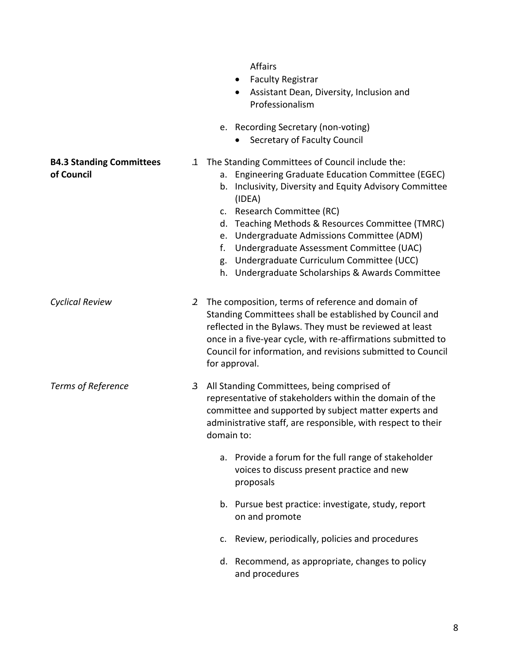- Faculty Registrar
- Assistant Dean, Diversity, Inclusion and Professionalism
- e. Recording Secretary (non‐voting)
	- Secretary of Faculty Council

### .1 The Standing Committees of Council include the:

- a. Engineering Graduate Education Committee (EGEC)
- b. Inclusivity, Diversity and Equity Advisory Committee (IDEA)
- c. Research Committee (RC)
- d. Teaching Methods & Resources Committee (TMRC)
- e. Undergraduate Admissions Committee (ADM)
- f. Undergraduate Assessment Committee (UAC)
- g. Undergraduate Curriculum Committee (UCC)
- h. Undergraduate Scholarships & Awards Committee

*Cyclical Review* .2 The composition, terms of reference and domain of Standing Committees shall be established by Council and reflected in the Bylaws. They must be reviewed at least once in a five‐year cycle, with re‐affirmations submitted to Council for information, and revisions submitted to Council for approval.

*Terms of Reference* .3 All Standing Committees, being comprised of representative of stakeholders within the domain of the committee and supported by subject matter experts and administrative staff, are responsible, with respect to their domain to:

- a. Provide a forum for the full range of stakeholder voices to discuss present practice and new proposals
- b. Pursue best practice: investigate, study, report on and promote
- c. Review, periodically, policies and procedures
- d. Recommend, as appropriate, changes to policy and procedures

#### **B4.3 Standing Committees of Council**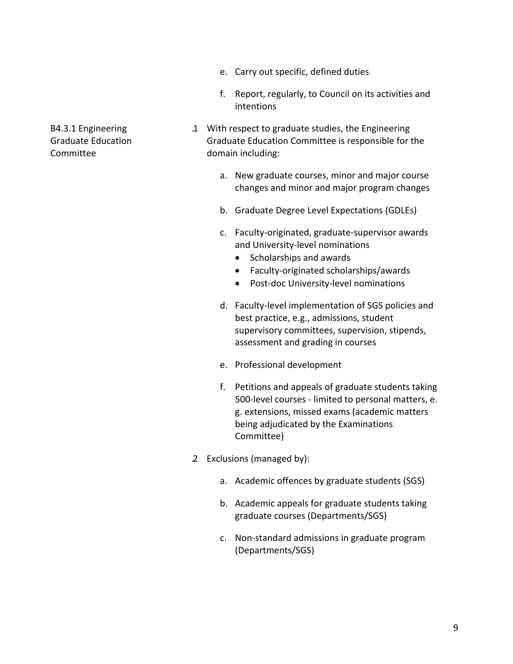- e. Carry out specific, defined duties
- f. Report, regularly, to Council on its activities and intentions
- .1 With respect to graduate studies, the Engineering Graduate Education Committee is responsible for the domain including:
	- a. New graduate courses, minor and major course changes and minor and major program changes
	- b. Graduate Degree Level Expectations (GDLEs)
	- c. Faculty‐originated, graduate‐supervisor awards and University‐level nominations
		- Scholarships and awards
		- Faculty‐originated scholarships/awards
		- Post-doc University-level nominations
	- d. Faculty‐level implementation of SGS policies and best practice, e.g., admissions, student supervisory committees, supervision, stipends, assessment and grading in courses
	- e. Professional development
	- f. Petitions and appeals of graduate students taking 500-level courses - limited to personal matters, e. g. extensions, missed exams (academic matters being adjudicated by the Examinations Committee)
- .2 Exclusions (managed by):
	- a. Academic offences by graduate students (SGS)
	- b. Academic appeals for graduate students taking graduate courses (Departments/SGS)
	- c. Non‐standard admissions in graduate program (Departments/SGS)

B4.3.1 Engineering Graduate Education Committee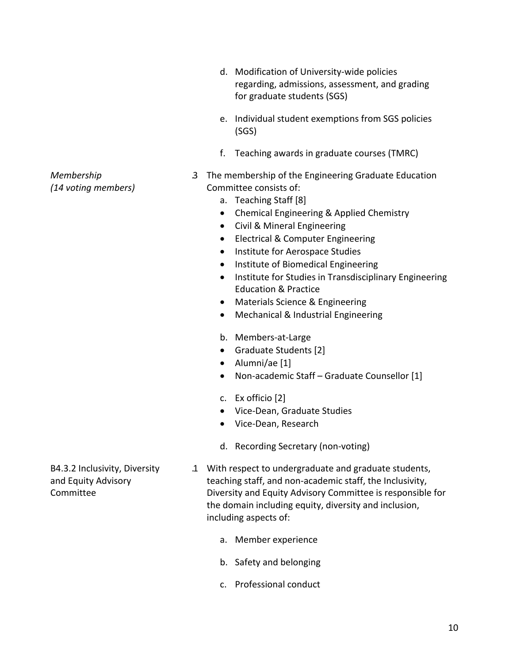- d. Modification of University‐wide policies regarding, admissions, assessment, and grading for graduate students (SGS)
- e. Individual student exemptions from SGS policies (SGS)
- f. Teaching awards in graduate courses (TMRC)
- .3 The membership of the Engineering Graduate Education Committee consists of:
	- a. Teaching Staff [8]
	- Chemical Engineering & Applied Chemistry
	- Civil & Mineral Engineering
	- Electrical & Computer Engineering
	- Institute for Aerospace Studies
	- Institute of Biomedical Engineering
	- Institute for Studies in Transdisciplinary Engineering Education & Practice
	- Materials Science & Engineering
	- Mechanical & Industrial Engineering
	- b. Members‐at‐Large
	- Graduate Students [2]
	- Alumni/ae [1]
	- Non-academic Staff Graduate Counsellor [1]
	- c. Ex officio [2]
	- Vice-Dean, Graduate Studies
	- Vice-Dean, Research
	- d. Recording Secretary (non‐voting)
- .1 With respect to undergraduate and graduate students, teaching staff, and non‐academic staff, the Inclusivity, Diversity and Equity Advisory Committee is responsible for the domain including equity, diversity and inclusion, including aspects of:
	- a. Member experience
	- b. Safety and belonging
	- c. Professional conduct

*Membership (14 voting members)*

B4.3.2 Inclusivity, Diversity and Equity Advisory Committee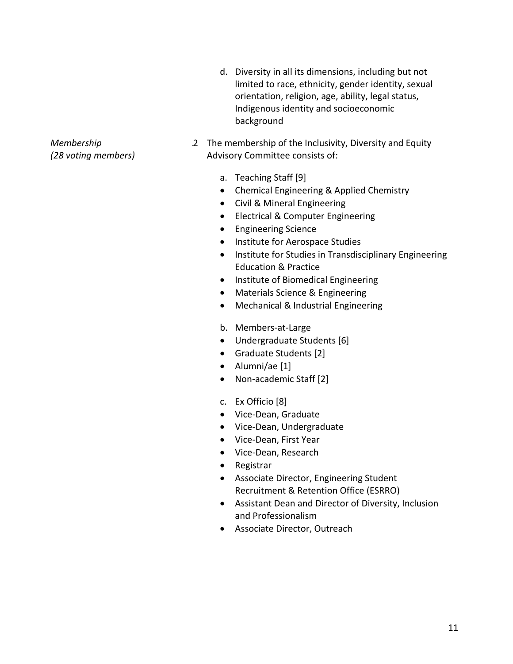- d. Diversity in all its dimensions, including but not limited to race, ethnicity, gender identity, sexual orientation, religion, age, ability, legal status, Indigenous identity and socioeconomic background
- .2 The membership of the Inclusivity, Diversity and Equity Advisory Committee consists of:
	- a. Teaching Staff [9]
	- Chemical Engineering & Applied Chemistry
	- Civil & Mineral Engineering
	- Electrical & Computer Engineering
	- Engineering Science
	- Institute for Aerospace Studies
	- Institute for Studies in Transdisciplinary Engineering Education & Practice
	- Institute of Biomedical Engineering
	- Materials Science & Engineering
	- Mechanical & Industrial Engineering
	- b. Members‐at‐Large
	- Undergraduate Students [6]
	- Graduate Students [2]
	- Alumni/ae [1]
	- Non-academic Staff [2]
	- c. Ex Officio [8]
	- Vice-Dean, Graduate
	- Vice-Dean, Undergraduate
	- Vice-Dean, First Year
	- Vice-Dean, Research
	- Registrar
	- Associate Director, Engineering Student Recruitment & Retention Office (ESRRO)
	- Assistant Dean and Director of Diversity, Inclusion and Professionalism
	- Associate Director, Outreach

*Membership (28 voting members)*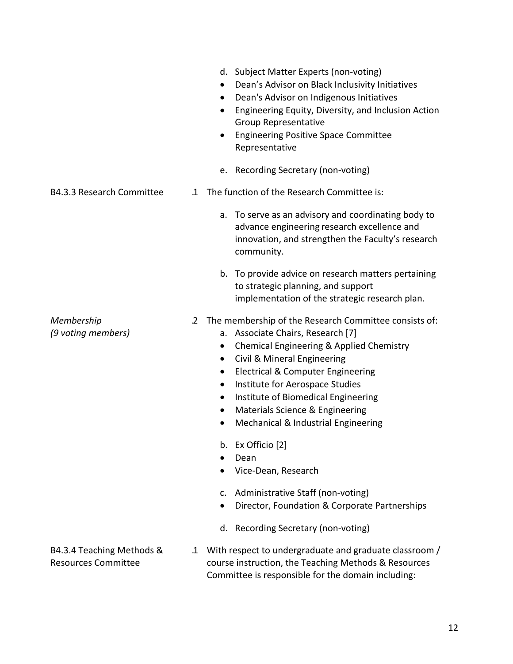|                                                         |              | Engineering Equity, Diversity, and Inclusion Action<br><b>Group Representative</b><br><b>Engineering Positive Space Committee</b><br>Representative                                                                                                                                                                                                                                                                                          |
|---------------------------------------------------------|--------------|----------------------------------------------------------------------------------------------------------------------------------------------------------------------------------------------------------------------------------------------------------------------------------------------------------------------------------------------------------------------------------------------------------------------------------------------|
|                                                         |              | e. Recording Secretary (non-voting)                                                                                                                                                                                                                                                                                                                                                                                                          |
| <b>B4.3.3 Research Committee</b>                        | $\mathbf{1}$ | The function of the Research Committee is:                                                                                                                                                                                                                                                                                                                                                                                                   |
|                                                         |              | a. To serve as an advisory and coordinating body to<br>advance engineering research excellence and<br>innovation, and strengthen the Faculty's research<br>community.                                                                                                                                                                                                                                                                        |
|                                                         |              | b. To provide advice on research matters pertaining<br>to strategic planning, and support<br>implementation of the strategic research plan.                                                                                                                                                                                                                                                                                                  |
| Membership<br>(9 voting members)                        | $\mathbf{2}$ | The membership of the Research Committee consists of:<br>a. Associate Chairs, Research [7]<br>Chemical Engineering & Applied Chemistry<br>$\bullet$<br>Civil & Mineral Engineering<br>$\bullet$<br>Electrical & Computer Engineering<br>$\bullet$<br>Institute for Aerospace Studies<br>$\bullet$<br>Institute of Biomedical Engineering<br>$\bullet$<br>Materials Science & Engineering<br>$\bullet$<br>Mechanical & Industrial Engineering |
|                                                         |              | b. Ex Officio [2]<br>Dean                                                                                                                                                                                                                                                                                                                                                                                                                    |
|                                                         |              | Vice-Dean, Research<br>c. Administrative Staff (non-voting)<br>Director, Foundation & Corporate Partnerships<br>d. Recording Secretary (non-voting)                                                                                                                                                                                                                                                                                          |
| B4.3.4 Teaching Methods &<br><b>Resources Committee</b> | $\mathbf{1}$ | With respect to undergraduate and graduate classroom /<br>course instruction, the Teaching Methods & Resources<br>Committee is responsible for the domain including:                                                                                                                                                                                                                                                                         |

d. Subject Matter Experts (non‐voting)

 Dean's Advisor on Black Inclusivity Initiatives Dean's Advisor on Indigenous Initiatives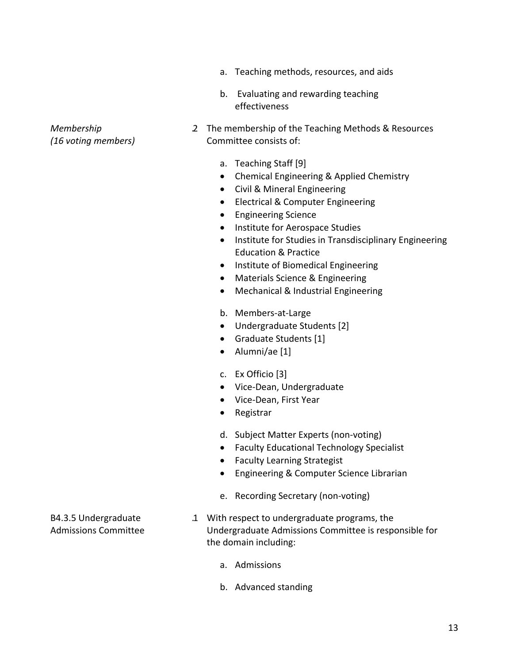- a. Teaching methods, resources, and aids
- b. Evaluating and rewarding teaching effectiveness
- .2 The membership of the Teaching Methods & Resources Committee consists of:
	- a. Teaching Staff [9]
	- Chemical Engineering & Applied Chemistry
	- Civil & Mineral Engineering
	- Electrical & Computer Engineering
	- Engineering Science
	- Institute for Aerospace Studies
	- Institute for Studies in Transdisciplinary Engineering Education & Practice
	- Institute of Biomedical Engineering
	- Materials Science & Engineering
	- Mechanical & Industrial Engineering
	- b. Members‐at‐Large
	- Undergraduate Students [2]
	- Graduate Students [1]
	- Alumni/ae [1]
	- c. Ex Officio [3]
	- Vice-Dean, Undergraduate
	- Vice-Dean, First Year
	- Registrar
	- d. Subject Matter Experts (non‐voting)
	- Faculty Educational Technology Specialist
	- Faculty Learning Strategist
	- Engineering & Computer Science Librarian
	- e. Recording Secretary (non‐voting)
- .1 With respect to undergraduate programs, the Undergraduate Admissions Committee is responsible for the domain including:
	- a. Admissions
	- b. Advanced standing

B4.3.5 Undergraduate Admissions Committee

*Membership*

*(16 voting members)*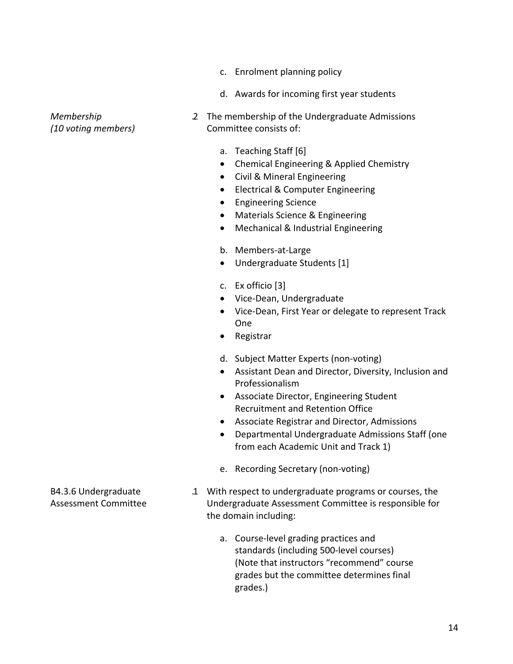- c. Enrolment planning policy
- d. Awards for incoming first year students

- *Membership (10 voting members)*
- .2 The membership of the Undergraduate Admissions Committee consists of:
	- a. Teaching Staff [6]
	- Chemical Engineering & Applied Chemistry
	- Civil & Mineral Engineering
	- Electrical & Computer Engineering
	- **•** Engineering Science
	- Materials Science & Engineering
	- Mechanical & Industrial Engineering
	- b. Members‐at‐Large
	- Undergraduate Students [1]
	- c. Ex officio [3]
	- Vice-Dean, Undergraduate
	- Vice-Dean, First Year or delegate to represent Track One
	- Registrar
	- d. Subject Matter Experts (non‐voting)
	- Assistant Dean and Director, Diversity, Inclusion and Professionalism
	- Associate Director, Engineering Student Recruitment and Retention Office
	- Associate Registrar and Director, Admissions
	- Departmental Undergraduate Admissions Staff (one from each Academic Unit and Track 1)
	- e. Recording Secretary (non‐voting)
- .1 With respect to undergraduate programs or courses, the Undergraduate Assessment Committee is responsible for the domain including:
	- a. Course‐level grading practices and standards (including 500‐level courses) (Note that instructors "recommend" course grades but the committee determines final grades.)

B4.3.6 Undergraduate Assessment Committee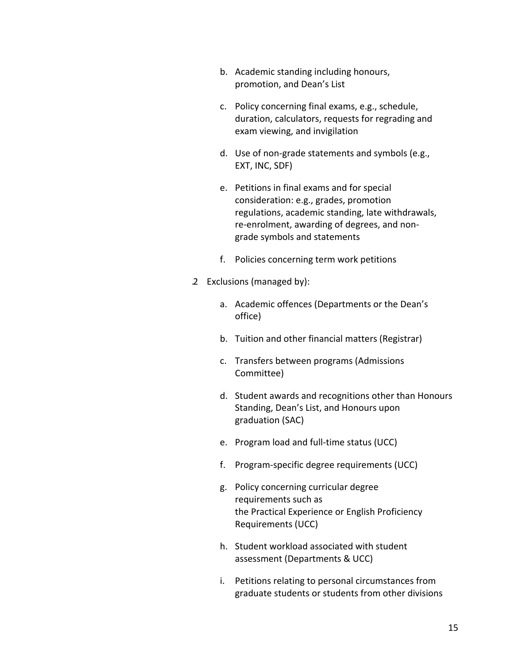- b. Academic standing including honours, promotion, and Dean's List
- c. Policy concerning final exams, e.g., schedule, duration, calculators, requests for regrading and exam viewing, and invigilation
- d. Use of non‐grade statements and symbols (e.g., EXT, INC, SDF)
- e. Petitions in final exams and for special consideration: e.g., grades, promotion regulations, academic standing, late withdrawals, re‐enrolment, awarding of degrees, and non‐ grade symbols and statements
- f. Policies concerning term work petitions
- .2 Exclusions (managed by):
	- a. Academic offences (Departments or the Dean's office)
	- b. Tuition and other financial matters (Registrar)
	- c. Transfers between programs (Admissions Committee)
	- d. Student awards and recognitions other than Honours Standing, Dean's List, and Honours upon graduation (SAC)
	- e. Program load and full‐time status (UCC)
	- f. Program‐specific degree requirements (UCC)
	- g. Policy concerning curricular degree requirements such as the Practical Experience or English Proficiency Requirements (UCC)
	- h. Student workload associated with student assessment (Departments & UCC)
	- i. Petitions relating to personal circumstances from graduate students or students from other divisions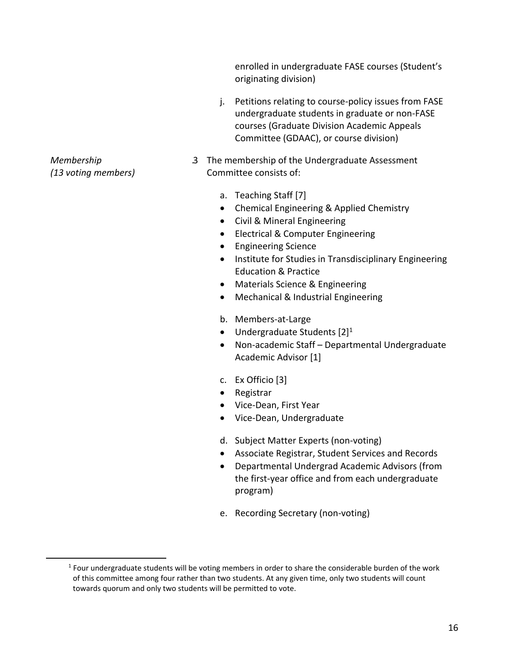enrolled in undergraduate FASE courses (Student's originating division)

- j. Petitions relating to course-policy issues from FASE undergraduate students in graduate or non‐FASE courses (Graduate Division Academic Appeals Committee (GDAAC), or course division)
- .3 The membership of the Undergraduate Assessment Committee consists of:
	- a. Teaching Staff [7]
	- Chemical Engineering & Applied Chemistry
	- Civil & Mineral Engineering
	- Electrical & Computer Engineering
	- Engineering Science
	- Institute for Studies in Transdisciplinary Engineering Education & Practice
	- Materials Science & Engineering
	- Mechanical & Industrial Engineering
	- b. Members‐at‐Large
	- $\bullet$  Undergraduate Students  $[2]^1$
	- Non-academic Staff Departmental Undergraduate Academic Advisor [1]
	- c. Ex Officio [3]
	- Registrar
	- Vice-Dean, First Year
	- Vice-Dean, Undergraduate
	- d. Subject Matter Experts (non‐voting)
	- Associate Registrar, Student Services and Records
	- Departmental Undergrad Academic Advisors (from the first‐year office and from each undergraduate program)
	- e. Recording Secretary (non‐voting)

*Membership (13 voting members)*

 $<sup>1</sup>$  Four undergraduate students will be voting members in order to share the considerable burden of the work</sup> of this committee among four rather than two students. At any given time, only two students will count towards quorum and only two students will be permitted to vote.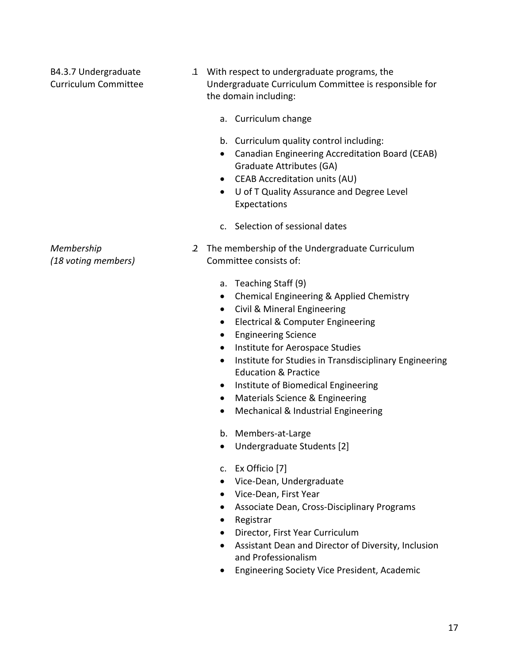B4.3.7 Undergraduate Curriculum Committee .1 With respect to undergraduate programs, the Undergraduate Curriculum Committee is responsible for the domain including: a. Curriculum change b. Curriculum quality control including: Canadian Engineering Accreditation Board (CEAB) Graduate Attributes (GA) CEAB Accreditation units (AU) U of T Quality Assurance and Degree Level Expectations c. Selection of sessional dates

- .2 The membership of the Undergraduate Curriculum Committee consists of:
	- a. Teaching Staff (9)
	- Chemical Engineering & Applied Chemistry
	- Civil & Mineral Engineering
	- Electrical & Computer Engineering
	- Engineering Science
	- Institute for Aerospace Studies
	- Institute for Studies in Transdisciplinary Engineering Education & Practice
	- Institute of Biomedical Engineering
	- Materials Science & Engineering
	- Mechanical & Industrial Engineering
	- b. Members‐at‐Large
	- Undergraduate Students [2]
	- c. Ex Officio [7]
	- Vice-Dean, Undergraduate
	- Vice-Dean, First Year
	- Associate Dean, Cross-Disciplinary Programs
	- Registrar
	- Director, First Year Curriculum
	- Assistant Dean and Director of Diversity, Inclusion and Professionalism
	- Engineering Society Vice President, Academic

*Membership (18 voting members)*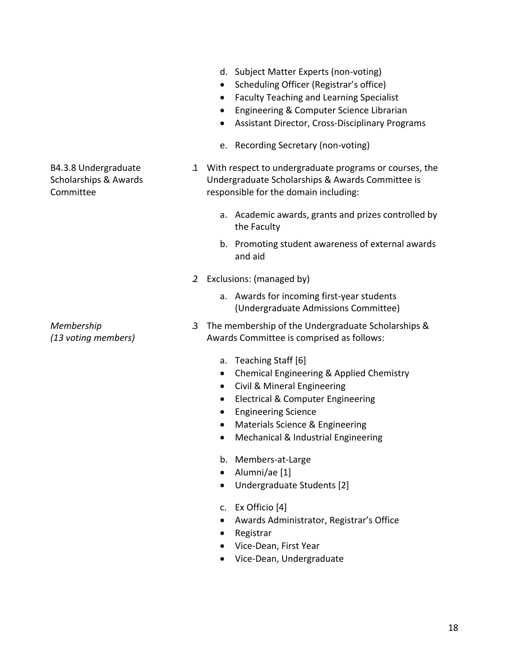18

# B4.3.8 Undergraduate Scholarships & Awards Committee

*Membership (13 voting members)*

- d. Subject Matter Experts (non‐voting)
- Scheduling Officer (Registrar's office)
- Faculty Teaching and Learning Specialist
- **•** Engineering & Computer Science Librarian
- Assistant Director, Cross‐Disciplinary Programs
- e. Recording Secretary (non‐voting)
- .1 With respect to undergraduate programs or courses, the Undergraduate Scholarships & Awards Committee is responsible for the domain including:
	- a. Academic awards, grants and prizes controlled by the Faculty
	- b. Promoting student awareness of external awards and aid
- .2 Exclusions: (managed by)
	- a. Awards for incoming first‐year students (Undergraduate Admissions Committee)
- .3 The membership of the Undergraduate Scholarships & Awards Committee is comprised as follows:
	- a. Teaching Staff [6]
	- Chemical Engineering & Applied Chemistry
	- Civil & Mineral Engineering
	- Electrical & Computer Engineering
	- **•** Engineering Science
	- Materials Science & Engineering
	- Mechanical & Industrial Engineering
	- b. Members‐at‐Large
	- Alumni/ae [1]
	- Undergraduate Students [2]
	- c. Ex Officio [4]
	- Awards Administrator, Registrar's Office
	- Registrar
	- Vice-Dean, First Year
	- Vice-Dean, Undergraduate